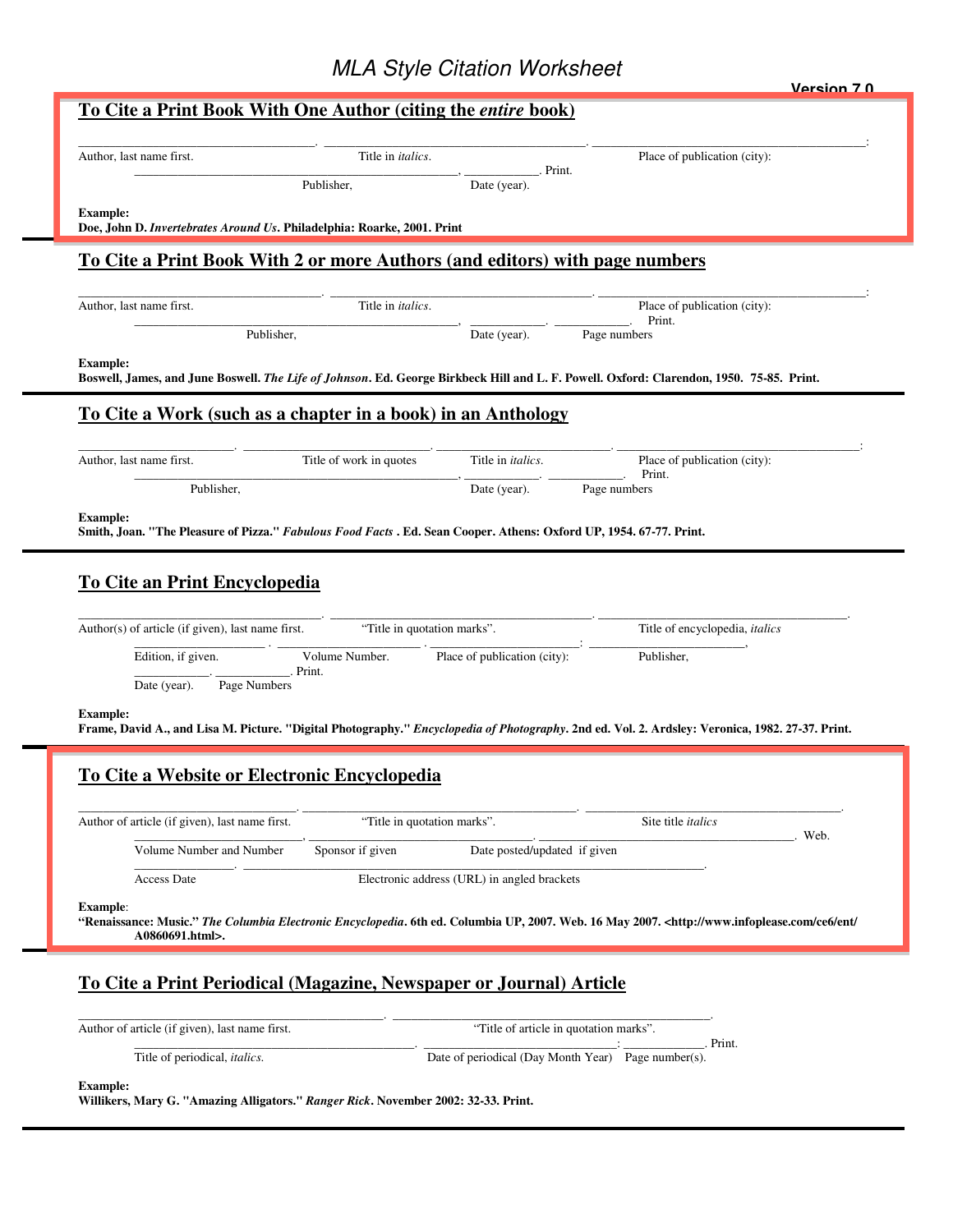## MLA Style Citation Worksheet

|                                                                                                                     |                                              |                                             |                                                                                                                                                                                  | Version 7 0 |
|---------------------------------------------------------------------------------------------------------------------|----------------------------------------------|---------------------------------------------|----------------------------------------------------------------------------------------------------------------------------------------------------------------------------------|-------------|
| <u>To Cite a Print Book With One Author (citing the entire book)</u>                                                |                                              |                                             |                                                                                                                                                                                  |             |
|                                                                                                                     |                                              |                                             |                                                                                                                                                                                  |             |
| Author, last name first.                                                                                            | Title in <i>italics</i> .                    | . Print.                                    | Place of publication (city):                                                                                                                                                     |             |
|                                                                                                                     | Publisher,                                   | Date (year).                                |                                                                                                                                                                                  |             |
| <b>Example:</b><br>Doe, John D. Invertebrates Around Us. Philadelphia: Roarke, 2001. Print                          |                                              |                                             |                                                                                                                                                                                  |             |
|                                                                                                                     |                                              |                                             |                                                                                                                                                                                  |             |
| To Cite a Print Book With 2 or more Authors (and editors) with page numbers                                         |                                              |                                             |                                                                                                                                                                                  |             |
| Author, last name first.                                                                                            | Title in <i>italics</i> .                    |                                             | Place of publication (city):                                                                                                                                                     |             |
|                                                                                                                     | Publisher,                                   | Date (year).                                | Print.<br>Page numbers                                                                                                                                                           |             |
|                                                                                                                     |                                              |                                             |                                                                                                                                                                                  |             |
| <b>Example:</b>                                                                                                     |                                              |                                             | Boswell, James, and June Boswell. The Life of Johnson. Ed. George Birkbeck Hill and L. F. Powell. Oxford: Clarendon, 1950. 75-85. Print.                                         |             |
| <u>To Cite a Work (such as a chapter in a book) in an Anthology</u>                                                 |                                              |                                             |                                                                                                                                                                                  |             |
|                                                                                                                     |                                              |                                             |                                                                                                                                                                                  |             |
| Author, last name first.                                                                                            | Title of work in quotes                      | Title in <i>italics</i> .                   | Place of publication (city):                                                                                                                                                     |             |
| Publisher,                                                                                                          |                                              | Date (year).                                | Print.<br>Page numbers                                                                                                                                                           |             |
| <b>Example:</b>                                                                                                     |                                              |                                             |                                                                                                                                                                                  |             |
| Smith, Joan. "The Pleasure of Pizza." Fabulous Food Facts . Ed. Sean Cooper. Athens: Oxford UP, 1954. 67-77. Print. |                                              |                                             |                                                                                                                                                                                  |             |
|                                                                                                                     |                                              |                                             |                                                                                                                                                                                  |             |
| <b>To Cite an Print Encyclopedia</b>                                                                                |                                              |                                             |                                                                                                                                                                                  |             |
|                                                                                                                     |                                              |                                             |                                                                                                                                                                                  |             |
| Author(s) of article (if given), last name first.                                                                   | "Title in quotation marks".                  |                                             | Title of encyclopedia, italics                                                                                                                                                   |             |
| Edition, if given.                                                                                                  | Volume Number.<br>Print.                     | Place of publication (city):                | Publisher,                                                                                                                                                                       |             |
| Date (year).<br>Page Numbers                                                                                        |                                              |                                             |                                                                                                                                                                                  |             |
| <b>Example:</b>                                                                                                     |                                              |                                             |                                                                                                                                                                                  |             |
|                                                                                                                     |                                              |                                             | Frame, David A., and Lisa M. Picture. "Digital Photography." Encyclopedia of Photography. 2nd ed. Vol. 2. Ardsley: Veronica, 1982. 27-37. Print.                                 |             |
|                                                                                                                     | To Cite a Website or Electronic Encyclopedia |                                             |                                                                                                                                                                                  |             |
|                                                                                                                     |                                              |                                             |                                                                                                                                                                                  |             |
| Author of article (if given), last name first.                                                                      | "Title in quotation marks".                  |                                             | Site title <i>italics</i>                                                                                                                                                        |             |
| Volume Number and Number                                                                                            | Sponsor if given                             | Date posted/updated if given                |                                                                                                                                                                                  | Web.        |
| Access Date                                                                                                         |                                              | Electronic address (URL) in angled brackets |                                                                                                                                                                                  |             |
|                                                                                                                     |                                              |                                             |                                                                                                                                                                                  |             |
| <b>Example:</b>                                                                                                     |                                              |                                             | "Renaissance: Music." The Columbia Electronic Encyclopedia. 6th ed. Columbia UP, 2007. Web. 16 May 2007. <http: <="" ce6="" ent="" td="" www.infoplease.com=""><td></td></http:> |             |
| A0860691.html>.                                                                                                     |                                              |                                             |                                                                                                                                                                                  |             |
|                                                                                                                     |                                              |                                             |                                                                                                                                                                                  |             |
| To Cite a Print Periodical (Magazine, Newspaper or Journal) Article                                                 |                                              |                                             |                                                                                                                                                                                  |             |
| Author of article (if given), last name first.                                                                      |                                              | "Title of article in quotation marks".      |                                                                                                                                                                                  |             |
| Title of periodical, italics.                                                                                       |                                              |                                             | Print.<br>Date of periodical (Day Month Year) Page number(s).                                                                                                                    |             |
|                                                                                                                     |                                              |                                             |                                                                                                                                                                                  |             |

**Example:** 

**Willikers, Mary G. "Amazing Alligators."** *Ranger Rick***. November 2002: 32-33. Print.**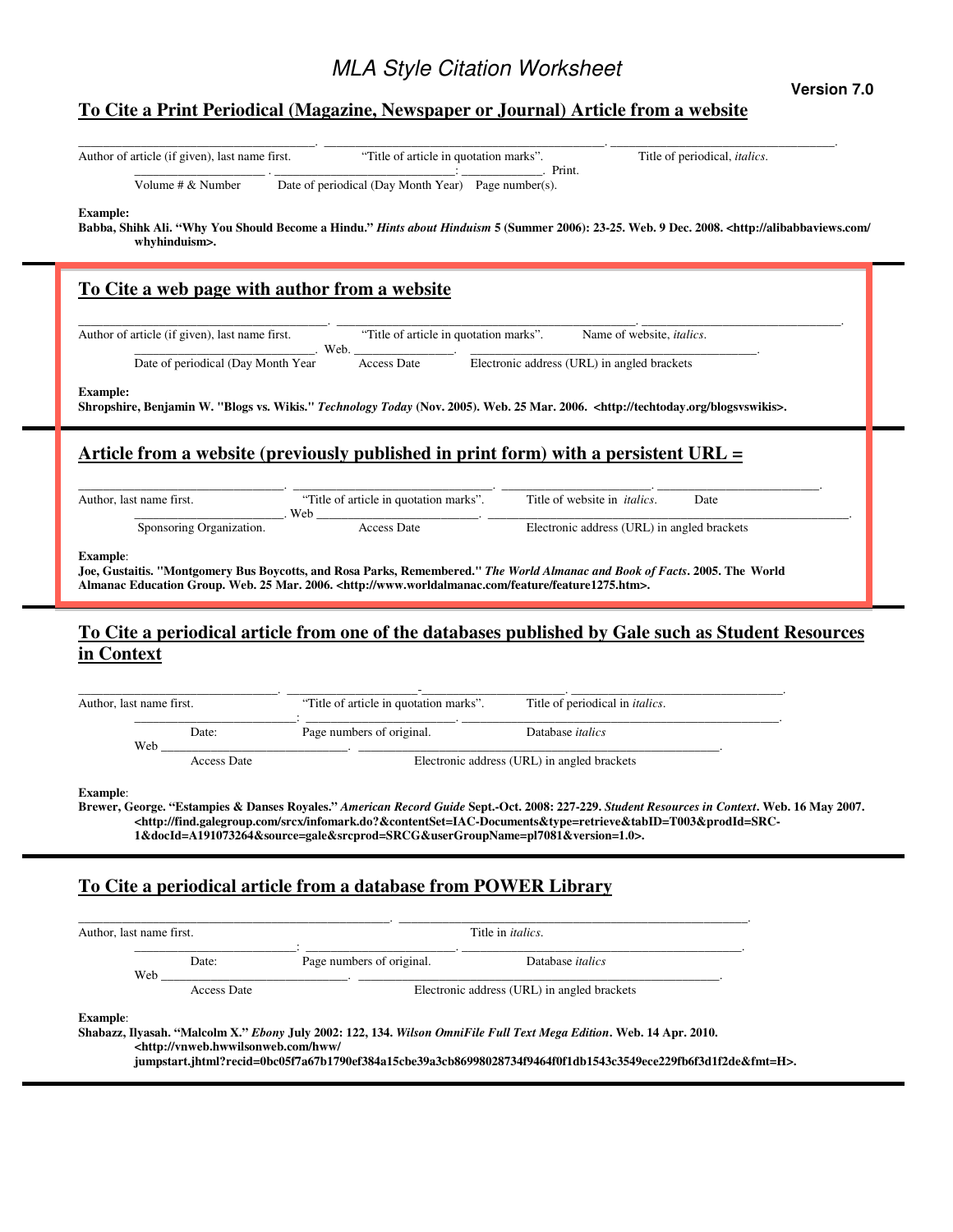## **Version 7.0**

## **To Cite a Print Periodical (Magazine, Newspaper or Journal) Article from a website**

| Volume # & Number                                                                                                         | Date of periodical (Day Month Year) Page number(s).                                                                                                                                                                                                                                                                                          | Print.                                      |      |
|---------------------------------------------------------------------------------------------------------------------------|----------------------------------------------------------------------------------------------------------------------------------------------------------------------------------------------------------------------------------------------------------------------------------------------------------------------------------------------|---------------------------------------------|------|
| <b>Example:</b><br>whyhinduism>.                                                                                          | Babba, Shihk Ali. "Why You Should Become a Hindu." Hints about Hinduism 5 (Summer 2006): 23-25. Web. 9 Dec. 2008. <http: <="" alibabbaviews.com="" th=""><th></th><th></th></http:>                                                                                                                                                          |                                             |      |
|                                                                                                                           | To Cite a web page with author from a website                                                                                                                                                                                                                                                                                                |                                             |      |
| Author of article (if given), last name first.                                                                            | "Title of article in quotation marks".<br>Web.                                                                                                                                                                                                                                                                                               | Name of website, <i>italics</i> .           |      |
| Date of periodical (Day Month Year                                                                                        | <b>Access Date</b>                                                                                                                                                                                                                                                                                                                           | Electronic address (URL) in angled brackets |      |
| <b>Example:</b>                                                                                                           | Shropshire, Benjamin W. "Blogs vs. Wikis." Technology Today (Nov. 2005). Web. 25 Mar. 2006. <http: blogsvswikis="" techtoday.org="">.</http:>                                                                                                                                                                                                |                                             |      |
|                                                                                                                           | Article from a website (previously published in print form) with a persistent URL $=$                                                                                                                                                                                                                                                        |                                             |      |
| Author, last name first.                                                                                                  | "Title of article in quotation marks".                                                                                                                                                                                                                                                                                                       | Title of website in <i>italics</i> .        | Date |
| Sponsoring Organization.                                                                                                  | Web<br><u> 1990 - Johann Barn, mars ann an t-</u><br><b>Access Date</b>                                                                                                                                                                                                                                                                      | Electronic address (URL) in angled brackets |      |
|                                                                                                                           | Joe, Gustaitis. "Montgomery Bus Boycotts, and Rosa Parks, Remembered." The World Almanac and Book of Facts. 2005. The World<br>Almanac Education Group. Web. 25 Mar. 2006. <http: feature="" feature1275.htm="" www.worldalmanac.com="">.</http:>                                                                                            |                                             |      |
|                                                                                                                           | To Cite a periodical article from one of the databases published by Gale such as Student Resources                                                                                                                                                                                                                                           |                                             |      |
|                                                                                                                           | "Title of article in quotation marks".                                                                                                                                                                                                                                                                                                       | Title of periodical in <i>italics</i> .     |      |
| Date:                                                                                                                     | Page numbers of original.                                                                                                                                                                                                                                                                                                                    | Database <i>italics</i>                     |      |
| Web_<br><b>Access Date</b>                                                                                                |                                                                                                                                                                                                                                                                                                                                              | Electronic address (URL) in angled brackets |      |
|                                                                                                                           | Brewer, George. "Estampies & Danses Royales." American Record Guide Sept.-Oct. 2008: 227-229. Student Resources in Context. Web. 16 May 2007.<br>-http://find.galegroup.com/srcx/infomark.do?&contentSet=IAC-Documents&type=retrieve&tabID=T003&prodId=SRC<br>1&docId=A191073264&source=gale&srcprod=SRCG&userGroupName=pl7081&version=1.0>. |                                             |      |
|                                                                                                                           | To Cite a periodical article from a database from POWER Library                                                                                                                                                                                                                                                                              |                                             |      |
|                                                                                                                           |                                                                                                                                                                                                                                                                                                                                              | Title in <i>italics</i> .                   |      |
| <b>Example:</b><br>in Context<br>Author, last name first.<br><b>Example:</b><br>Author, last name first.<br>Date:<br>Web. | Page numbers of original.                                                                                                                                                                                                                                                                                                                    | Database <i>italics</i>                     |      |

**Shabazz, Ilyasah. "Malcolm X."** *Ebony* **July 2002: 122, 134.** *Wilson OmniFile Full Text Mega Edition***. Web. 14 Apr. 2010. <http://vnweb.hwwilsonweb.com/hww/**

**jumpstart.jhtml?recid=0bc05f7a67b1790ef384a15cbe39a3cb86998028734f9464f0f1db1543c3549ece229fb6f3d1f2de&fmt=H>.**